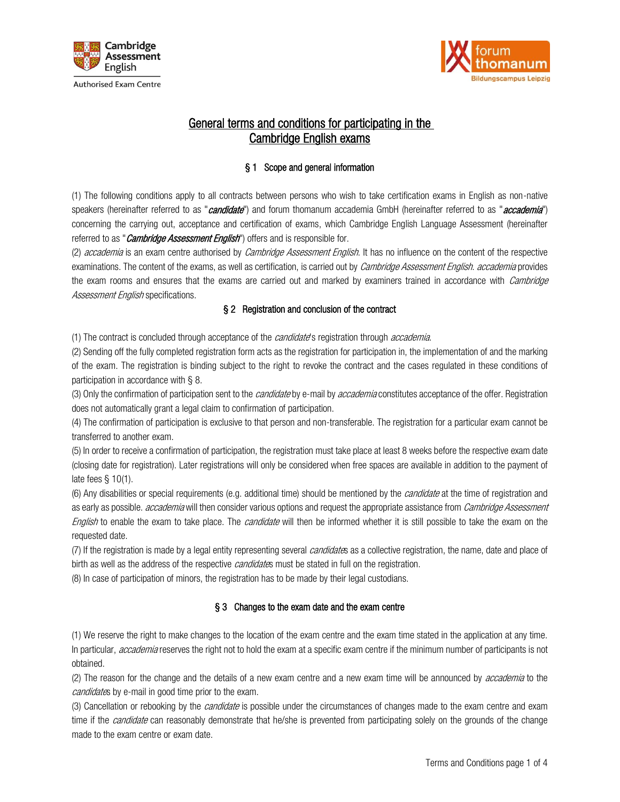



# General terms and conditions for participating in the Cambridge English exams

## § 1 Scope and general information

(1) The following conditions apply to all contracts between persons who wish to take certification exams in English as non-native speakers (hereinafter referred to as "*candidate*") and forum thomanum accademia GmbH (hereinafter referred to as "*accademia*") concerning the carrying out, acceptance and certification of exams, which Cambridge English Language Assessment (hereinafter referred to as "*Cambridge Assessment English*") offers and is responsible for.

(2) accademia is an exam centre authorised by *Cambridge Assessment English*. It has no influence on the content of the respective examinations. The content of the exams, as well as certification, is carried out by *Cambridge Assessment English. accademia* provides the exam rooms and ensures that the exams are carried out and marked by examiners trained in accordance with *Cambridge* Assessment English specifications.

### § 2 Registration and conclusion of the contract

(1) The contract is concluded through acceptance of the *candidate*'s registration through *accademia*.

(2) Sending off the fully completed registration form acts as the registration for participation in, the implementation of and the marking of the exam. The registration is binding subject to the right to revoke the contract and the cases regulated in these conditions of participation in accordance with § 8.

(3) Only the confirmation of participation sent to the *candidate* by e-mail by *accademia* constitutes acceptance of the offer. Registration does not automatically grant a legal claim to confirmation of participation.

(4) The confirmation of participation is exclusive to that person and non-transferable. The registration for a particular exam cannot be transferred to another exam.

(5) In order to receive a confirmation of participation, the registration must take place at least 8 weeks before the respective exam date (closing date for registration). Later registrations will only be considered when free spaces are available in addition to the payment of late fees § 10(1).

(6) Any disabilities or special requirements (e.g. additional time) should be mentioned by the *candidate* at the time of registration and as early as possible. *accademia* will then consider various options and request the appropriate assistance from *Cambridge Assessment* English to enable the exam to take place. The candidate will then be informed whether it is still possible to take the exam on the requested date.

(7) If the registration is made by a legal entity representing several *candidate*s as a collective registration, the name, date and place of birth as well as the address of the respective *candidate*s must be stated in full on the registration.

(8) In case of participation of minors, the registration has to be made by their legal custodians.

### § 3 Changes to the exam date and the exam centre

(1) We reserve the right to make changes to the location of the exam centre and the exam time stated in the application at any time. In particular, *accademia* reserves the right not to hold the exam at a specific exam centre if the minimum number of participants is not obtained.

(2) The reason for the change and the details of a new exam centre and a new exam time will be announced by *accademia* to the candidates by e-mail in good time prior to the exam.

(3) Cancellation or rebooking by the *candidate* is possible under the circumstances of changes made to the exam centre and exam time if the *candidate* can reasonably demonstrate that he/she is prevented from participating solely on the grounds of the change made to the exam centre or exam date.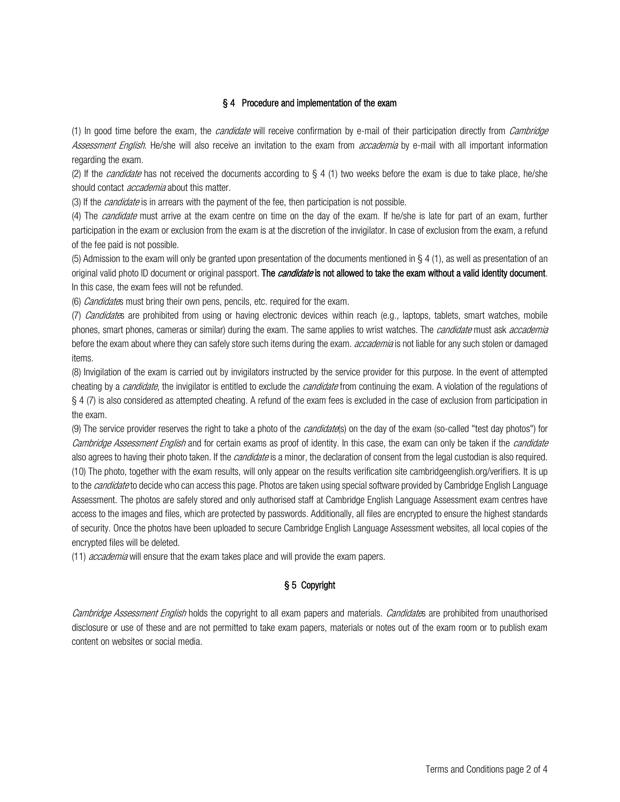### § 4 Procedure and implementation of the exam

(1) In good time before the exam, the *candidate* will receive confirmation by e-mail of their participation directly from *Cambridge* Assessment English. He/she will also receive an invitation to the exam from accademia by e-mail with all important information regarding the exam.

(2) If the *candidate* has not received the documents according to § 4 (1) two weeks before the exam is due to take place, he/she should contact *accademia* about this matter.

(3) If the *candidate* is in arrears with the payment of the fee, then participation is not possible.

(4) The *candidate* must arrive at the exam centre on time on the day of the exam. If he/she is late for part of an exam, further participation in the exam or exclusion from the exam is at the discretion of the invigilator. In case of exclusion from the exam, a refund of the fee paid is not possible.

(5) Admission to the exam will only be granted upon presentation of the documents mentioned in § 4 (1), as well as presentation of an original valid photo ID document or original passport. The *candidate* is not allowed to take the exam without a valid identity document. In this case, the exam fees will not be refunded.

(6) Candidates must bring their own pens, pencils, etc. required for the exam.

(7) Candidates are prohibited from using or having electronic devices within reach (e.g., laptops, tablets, smart watches, mobile phones, smart phones, cameras or similar) during the exam. The same applies to wrist watches. The *candidate* must ask *accademia* before the exam about where they can safely store such items during the exam. *accademia* is not liable for any such stolen or damaged items.

(8) Invigilation of the exam is carried out by invigilators instructed by the service provider for this purpose. In the event of attempted cheating by a *candidate*, the invigilator is entitled to exclude the *candidate* from continuing the exam. A violation of the regulations of § 4 (7) is also considered as attempted cheating. A refund of the exam fees is excluded in the case of exclusion from participation in the exam.

(9) The service provider reserves the right to take a photo of the *candidate*(s) on the day of the exam (so-called "test day photos") for Cambridge Assessment English and for certain exams as proof of identity. In this case, the exam can only be taken if the *candidate* also agrees to having their photo taken. If the *candidate* is a minor, the declaration of consent from the legal custodian is also required. (10) The photo, together with the exam results, will only appear on the results verification site cambridgeenglish.org/verifiers. It is up to the *candidate* to decide who can access this page. Photos are taken using special software provided by Cambridge English Language Assessment. The photos are safely stored and only authorised staff at Cambridge English Language Assessment exam centres have access to the images and files, which are protected by passwords. Additionally, all files are encrypted to ensure the highest standards of security. Once the photos have been uploaded to secure Cambridge English Language Assessment websites, all local copies of the encrypted files will be deleted.

(11) *accademia* will ensure that the exam takes place and will provide the exam papers.

## § 5 Copyright

Cambridge Assessment English holds the copyright to all exam papers and materials. Candidates are prohibited from unauthorised disclosure or use of these and are not permitted to take exam papers, materials or notes out of the exam room or to publish exam content on websites or social media.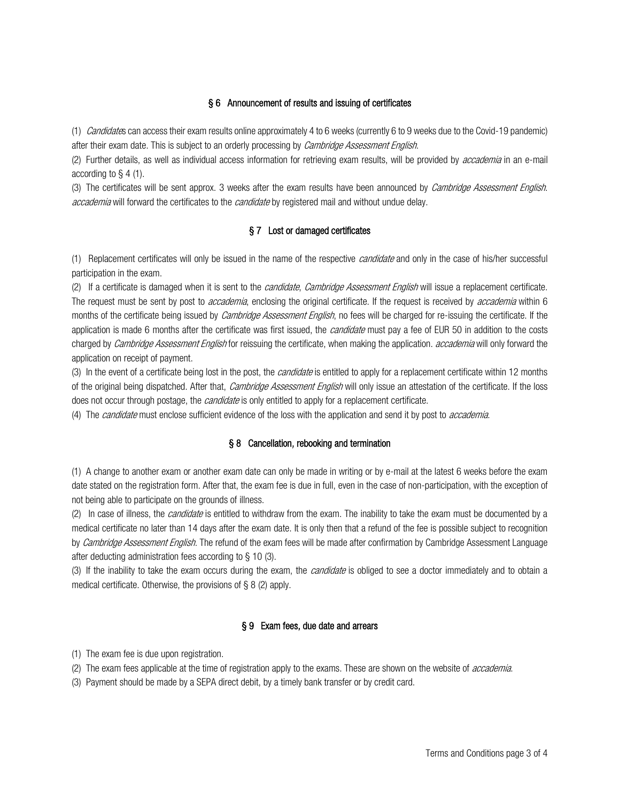### § 6 Announcement of results and issuing of certificates

(1) Candidates can access their exam results online approximately 4 to 6 weeks (currently 6 to 9 weeks due to the Covid-19 pandemic) after their exam date. This is subject to an orderly processing by *Cambridge Assessment English*.

(2) Further details, as well as individual access information for retrieving exam results, will be provided by *accademia* in an e-mail according to § 4 (1).

(3) The certificates will be sent approx. 3 weeks after the exam results have been announced by *Cambridge Assessment English*. accademia will forward the certificates to the *candidate* by registered mail and without undue delay.

### § 7 Lost or damaged certificates

(1) Replacement certificates will only be issued in the name of the respective *candidate* and only in the case of his/her successful participation in the exam.

(2) If a certificate is damaged when it is sent to the *candidate, Cambridge Assessment English* will issue a replacement certificate. The request must be sent by post to *accademia*, enclosing the original certificate. If the request is received by *accademia* within 6 months of the certificate being issued by *Cambridge Assessment English*, no fees will be charged for re-issuing the certificate. If the application is made 6 months after the certificate was first issued, the *candidate* must pay a fee of EUR 50 in addition to the costs charged by Cambridge Assessment English for reissuing the certificate, when making the application. accademia will only forward the application on receipt of payment.

(3) In the event of a certificate being lost in the post, the *candidate* is entitled to apply for a replacement certificate within 12 months of the original being dispatched. After that, *Cambridge Assessment English* will only issue an attestation of the certificate. If the loss does not occur through postage, the *candidate* is only entitled to apply for a replacement certificate.

(4) The *candidate* must enclose sufficient evidence of the loss with the application and send it by post to *accademia*.

### § 8 Cancellation, rebooking and termination

(1) A change to another exam or another exam date can only be made in writing or by e-mail at the latest 6 weeks before the exam date stated on the registration form. After that, the exam fee is due in full, even in the case of non-participation, with the exception of not being able to participate on the grounds of illness.

(2) In case of illness, the *candidate* is entitled to withdraw from the exam. The inability to take the exam must be documented by a medical certificate no later than 14 days after the exam date. It is only then that a refund of the fee is possible subject to recognition by *Cambridge Assessment English*. The refund of the exam fees will be made after confirmation by Cambridge Assessment Language after deducting administration fees according to § 10 (3).

(3) If the inability to take the exam occurs during the exam, the *candidate* is obliged to see a doctor immediately and to obtain a medical certificate. Otherwise, the provisions of § 8 (2) apply.

### § 9 Exam fees, due date and arrears

(1) The exam fee is due upon registration.

- (2) The exam fees applicable at the time of registration apply to the exams. These are shown on the website of *accademia*.
- (3) Payment should be made by a SEPA direct debit, by a timely bank transfer or by credit card.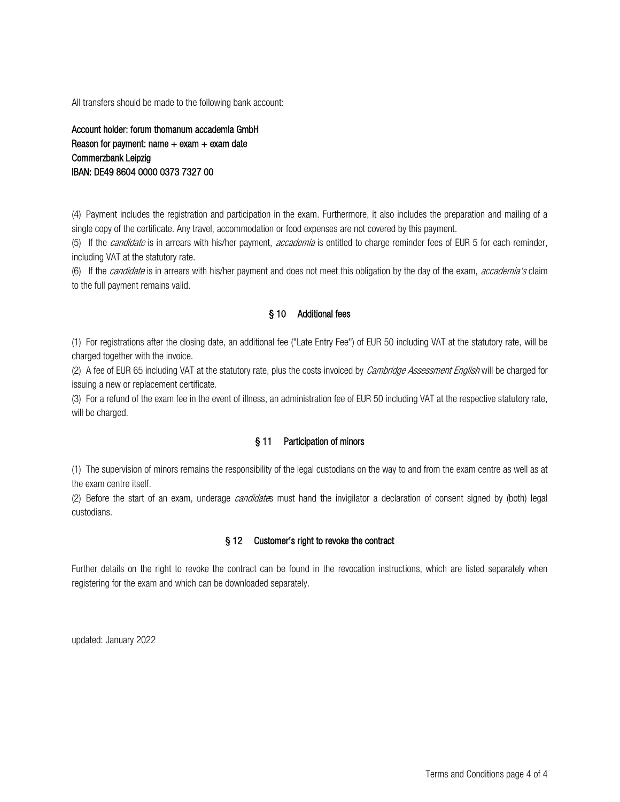All transfers should be made to the following bank account:

Account holder: forum thomanum accademia GmbH Reason for payment: name  $+$  exam  $+$  exam date Commerzbank Leipzig IBAN: DE49 8604 0000 0373 7327 00

(4) Payment includes the registration and participation in the exam. Furthermore, it also includes the preparation and mailing of a single copy of the certificate. Any travel, accommodation or food expenses are not covered by this payment.

(5) If the *candidate* is in arrears with his/her payment, *accademia* is entitled to charge reminder fees of EUR 5 for each reminder, including VAT at the statutory rate.

(6) If the *candidate* is in arrears with his/her payment and does not meet this obligation by the day of the exam, *accademia's* claim to the full payment remains valid.

#### § 10 Additional fees

(1) For registrations after the closing date, an additional fee ("Late Entry Fee") of EUR 50 including VAT at the statutory rate, will be charged together with the invoice.

(2) A fee of EUR 65 including VAT at the statutory rate, plus the costs invoiced by *Cambridge Assessment English* will be charged for issuing a new or replacement certificate.

(3) For a refund of the exam fee in the event of illness, an administration fee of EUR 50 including VAT at the respective statutory rate, will be charged.

#### § 11 Participation of minors

(1) The supervision of minors remains the responsibility of the legal custodians on the way to and from the exam centre as well as at the exam centre itself.

(2) Before the start of an exam, underage *candidate*s must hand the invigilator a declaration of consent signed by (both) legal custodians.

### § 12 Customer's right to revoke the contract

Further details on the right to revoke the contract can be found in the revocation instructions, which are listed separately when registering for the exam and which can be downloaded separately.

updated: January 2022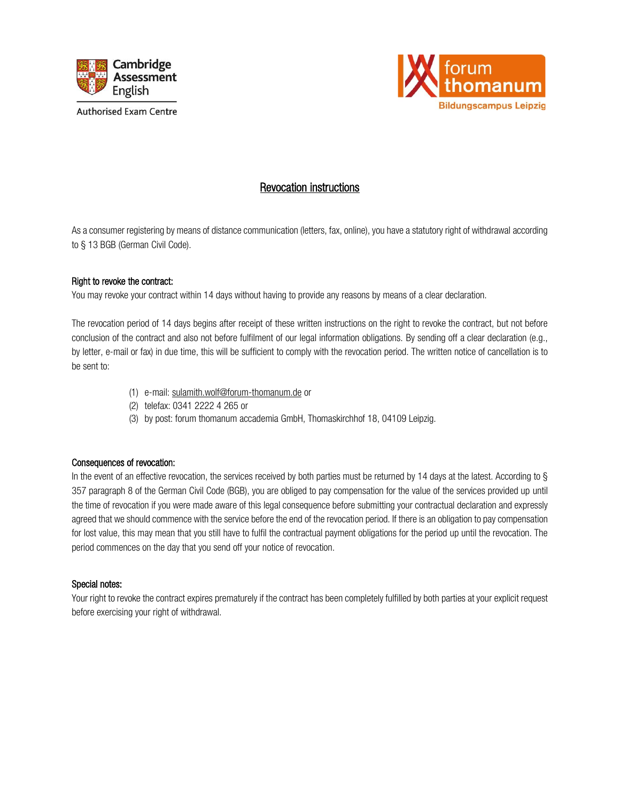



# Revocation instructions

As a consumer registering by means of distance communication (letters, fax, online), you have a statutory right of withdrawal according to § 13 BGB (German Civil Code).

### Right to revoke the contract:

You may revoke your contract within 14 days without having to provide any reasons by means of a clear declaration.

The revocation period of 14 days begins after receipt of these written instructions on the right to revoke the contract, but not before conclusion of the contract and also not before fulfilment of our legal information obligations. By sending off a clear declaration (e.g., by letter, e-mail or fax) in due time, this will be sufficient to comply with the revocation period. The written notice of cancellation is to be sent to:

- (1) e-mail: [sulamith.wolf@forum-thomanum.de](mailto:sulamith.wolf@forum-thomanum.de) or
- (2) telefax: 0341 2222 4 265 or
- (3) by post: forum thomanum accademia GmbH, Thomaskirchhof 18, 04109 Leipzig.

#### Consequences of revocation:

In the event of an effective revocation, the services received by both parties must be returned by 14 days at the latest. According to § 357 paragraph 8 of the German Civil Code (BGB), you are obliged to pay compensation for the value of the services provided up until the time of revocation if you were made aware of this legal consequence before submitting your contractual declaration and expressly agreed that we should commence with the service before the end of the revocation period. If there is an obligation to pay compensation for lost value, this may mean that you still have to fulfil the contractual payment obligations for the period up until the revocation. The period commences on the day that you send off your notice of revocation.

### Special notes:

Your right to revoke the contract expires prematurely if the contract has been completely fulfilled by both parties at your explicit request before exercising your right of withdrawal.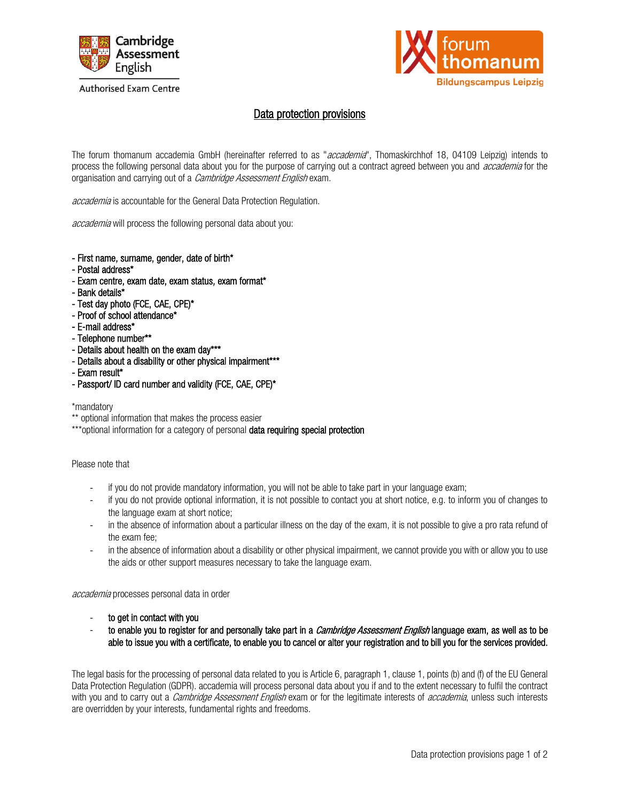

#### **Authorised Exam Centre**



# Data protection provisions

The forum thomanum accademia GmbH (hereinafter referred to as "*accademia*", Thomaskirchhof 18, 04109 Leipzig) intends to process the following personal data about you for the purpose of carrying out a contract agreed between you and *accademia* for the organisation and carrying out of a *Cambridge Assessment English* exam.

accademia is accountable for the General Data Protection Regulation.

accademia will process the following personal data about you:

- First name, surname, gender, date of birth\*
- Postal address\*
- Exam centre, exam date, exam status, exam format\*
- Bank details\*
- Test day photo (FCE, CAE, CPE)\*
- Proof of school attendance\*
- E-mail address\*
- Telephone number\*\*
- Details about health on the exam day\*\*\*
- Details about a disability or other physical impairment\*\*\*
- Exam result\*
- Passport/ ID card number and validity (FCE, CAE, CPE)\*

\*mandatory

\*\* optional information that makes the process easier

\*\*\*optional information for a category of personal data requiring special protection

#### Please note that

- if you do not provide mandatory information, you will not be able to take part in your language exam;
- if you do not provide optional information, it is not possible to contact you at short notice, e.g. to inform you of changes to the language exam at short notice;
- in the absence of information about a particular illness on the day of the exam, it is not possible to give a pro rata refund of the exam fee;
- in the absence of information about a disability or other physical impairment, we cannot provide you with or allow you to use the aids or other support measures necessary to take the language exam.

accademia processes personal data in order

- to get in contact with you
- to enable you to register for and personally take part in a *Cambridge Assessment English* language exam, as well as to be able to issue you with a certificate, to enable you to cancel or alter your registration and to bill you for the services provided.

The legal basis for the processing of personal data related to you is Article 6, paragraph 1, clause 1, points (b) and (f) of the EU General Data Protection Regulation (GDPR). accademia will process personal data about you if and to the extent necessary to fulfil the contract with you and to carry out a *Cambridge Assessment English* exam or for the legitimate interests of *accademia*, unless such interests are overridden by your interests, fundamental rights and freedoms.